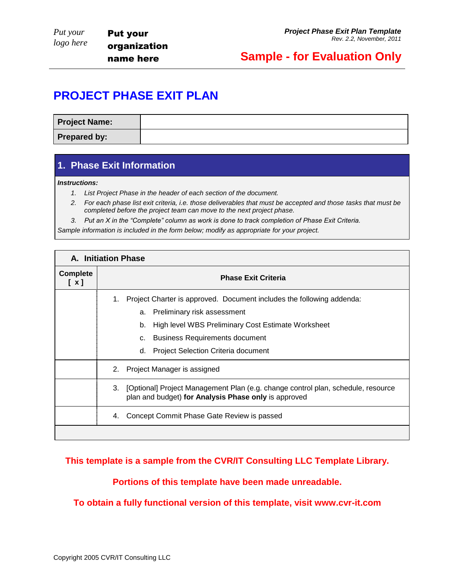### **Sample - for Evaluation Only**

### **PROJECT PHASE EXIT PLAN**

| <b>Project Name:</b> |  |
|----------------------|--|
| Prepared by:         |  |

### **1. Phase Exit Information**

*Instructions:*

- *1. List Project Phase in the header of each section of the document.*
- *2. For each phase list exit criteria, i.e. those deliverables that must be accepted and those tasks that must be completed before the project team can move to the next project phase.*
- *3. Put an X in the "Complete" column as work is done to track completion of Phase Exit Criteria.*

*Sample information is included in the form below; modify as appropriate for your project.* 

| <b>A. Initiation Phase</b> |                                                                                                                                                                                                                                                                          |  |  |
|----------------------------|--------------------------------------------------------------------------------------------------------------------------------------------------------------------------------------------------------------------------------------------------------------------------|--|--|
| <b>Complete</b><br>[x]     | <b>Phase Exit Criteria</b>                                                                                                                                                                                                                                               |  |  |
|                            | Project Charter is approved. Document includes the following addenda:<br>1.<br>Preliminary risk assessment<br>a.<br>High level WBS Preliminary Cost Estimate Worksheet<br>b.<br><b>Business Requirements document</b><br>C.<br>Project Selection Criteria document<br>d. |  |  |
|                            | Project Manager is assigned<br>2.                                                                                                                                                                                                                                        |  |  |
|                            | [Optional] Project Management Plan (e.g. change control plan, schedule, resource<br>3.<br>plan and budget) for Analysis Phase only is approved                                                                                                                           |  |  |
|                            | Concept Commit Phase Gate Review is passed<br>4.                                                                                                                                                                                                                         |  |  |
|                            |                                                                                                                                                                                                                                                                          |  |  |

### **This template is a sample from the CVR/IT Consulting LLC Template Library.**

**Portions of this template have been made unreadable.**

**To obtain a fully functional version of this template, visit www.cvr-it.com**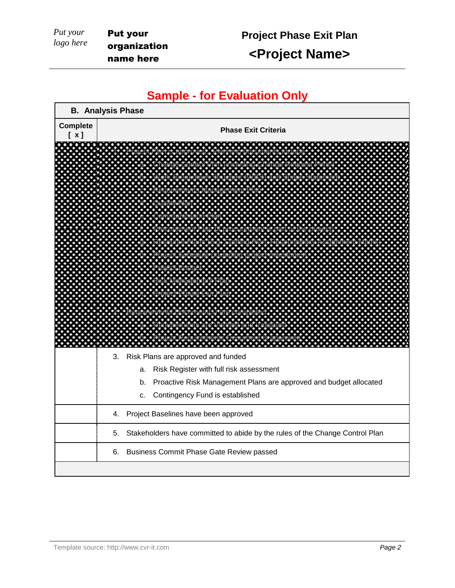**<Project Name>**

## **Sample - for Evaluation Only**

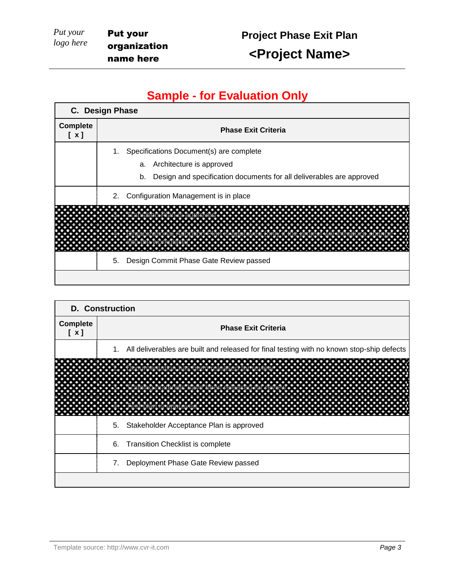# **Project Phase Exit Plan**

**<Project Name>**

## **Sample - for Evaluation Only**

| C. Design Phase        |                                                                            |  |  |  |
|------------------------|----------------------------------------------------------------------------|--|--|--|
| <b>Complete</b><br>[x] | <b>Phase Exit Criteria</b>                                                 |  |  |  |
|                        | 1. Specifications Document(s) are complete                                 |  |  |  |
|                        | Architecture is approved<br>a.                                             |  |  |  |
|                        | Design and specification documents for all deliverables are approved<br>b. |  |  |  |
|                        | Configuration Management is in place<br>2.                                 |  |  |  |
|                        |                                                                            |  |  |  |
|                        |                                                                            |  |  |  |
|                        | Design Commit Phase Gate Review passed<br>5.                               |  |  |  |
|                        |                                                                            |  |  |  |

| <b>D.</b> Construction |                                                                                              |  |  |  |
|------------------------|----------------------------------------------------------------------------------------------|--|--|--|
| <b>Complete</b><br>[x] | <b>Phase Exit Criteria</b>                                                                   |  |  |  |
|                        | 1. All deliverables are built and released for final testing with no known stop-ship defects |  |  |  |
|                        |                                                                                              |  |  |  |
|                        | 5. Stakeholder Acceptance Plan is approved                                                   |  |  |  |
|                        | 6. Transition Checklist is complete                                                          |  |  |  |
|                        | Deployment Phase Gate Review passed<br>7.                                                    |  |  |  |
|                        |                                                                                              |  |  |  |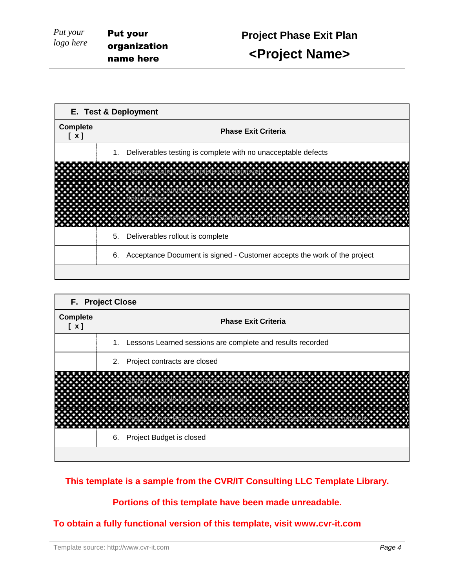| E. Test & Deployment   |                                                                             |  |  |  |  |
|------------------------|-----------------------------------------------------------------------------|--|--|--|--|
| <b>Complete</b><br>[x] | <b>Phase Exit Criteria</b>                                                  |  |  |  |  |
|                        | Deliverables testing is complete with no unacceptable defects<br>1.         |  |  |  |  |
|                        | Deliverables rollout is complete<br>5.                                      |  |  |  |  |
|                        | 6. Acceptance Document is signed - Customer accepts the work of the project |  |  |  |  |
|                        |                                                                             |  |  |  |  |

| F. Project Close       |                                                               |  |  |  |
|------------------------|---------------------------------------------------------------|--|--|--|
| <b>Complete</b><br>[x] | <b>Phase Exit Criteria</b>                                    |  |  |  |
|                        | 1. Lessons Learned sessions are complete and results recorded |  |  |  |
|                        | 2. Project contracts are closed                               |  |  |  |
|                        | 6. Project Budget is closed                                   |  |  |  |

### **This template is a sample from the CVR/IT Consulting LLC Template Library.**

### **Portions of this template have been made unreadable.**

### **To obtain a fully functional version of this template, visit www.cvr-it.com**